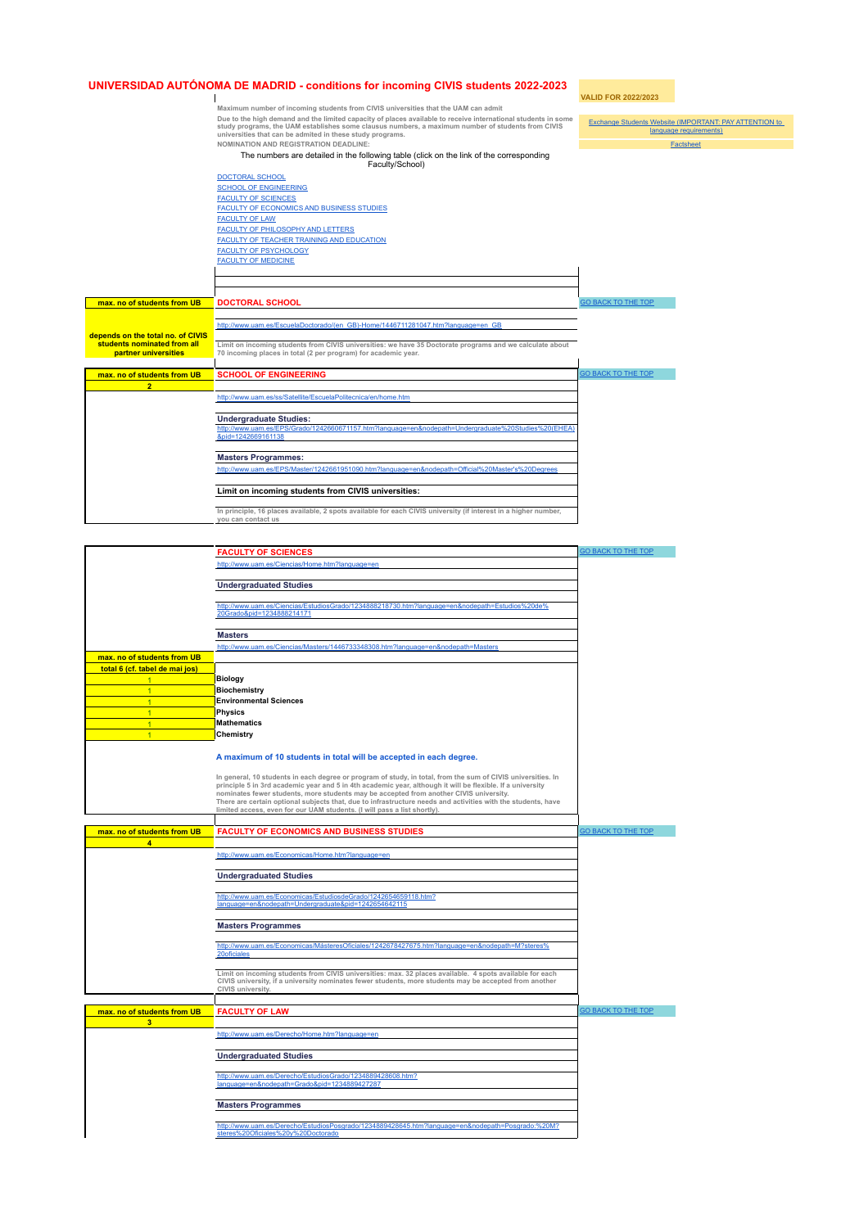## **UNIVERSIDAD AUTÓNOMA DE MADRID - conditions for incoming CIVIS students 2022-2023**

**VALID FOR 2022/2023**  $\perp$ **Maximum number of incoming students from CIVIS universities that the UAM can admit** maximum number of incoming students from Civis dimensions that the OAM can admit<br>Due to the high demand and the limited capacity of places available to receive international students in some<br>study programs, the UAM establi Exchange Students Website (IMPORTANT: PAY ATTENTION to language requirements) **NOMINATION AND REGISTRATION DEADLINE:** Factsheet The numbers are detailed in the following table (click on the link of the corresponding Faculty/School) [DOCTORAL SCHOOL](#gid=1731698051&range=A19) [SCHOOL OF ENGINEERING](#gid=1731698051&range=A25) [FACULTY OF SCIENCES](#gid=1731698051&range=A40) [FACULTY OF ECONOMICS AND BUSINESS STUDIES](#gid=1731698051&range=A73) [FACULTY OF LAW](#gid=1731698051&range=A87) [FACULTY OF PHILOSOPHY AND LETTERS](#gid=1731698051&range=A101) [FACULTY OF TEACHER TRAINING AND EDUCATION](#gid=1731698051&range=A131) [FACULTY OF PSYCHOLOGY](#gid=1731698051&range=A165) [FACULTY OF MEDICINE](#gid=1731698051&range=A145) **max. no of students from UB DOCTORAL SCHOOL** [GO BACK TO THE TOP](#gid=1731698051) [http://www.uam.es/EscuelaDoctorado/\(en\\_GB\)-Home/1446711281047.htm?language=en\\_GB](http://www.uam.es/EscuelaDoctorado/(en_GB)-Home/1446711281047.htm?language=en_GB) **depends on the total no. of CIVIS students nominated from all partner universities Limit on incoming students from CIVIS universities: we have 35 Doctorate programs and we calculate about 70 incoming places in total (2 per program) for academic year. max. no of students from UB SCHOOL OF ENGINEERING SCHOOL OF ENGINEERING 2** <http://www.uam.es/ss/Satellite/EscuelaPolitecnica/en/home.htm> **Undergraduate Studies:**<br>http://www.uam.es/FPS/Grado/1242660671157.ht [http://www.uam.es/EPS/Grado/1242660671157.htm?language=en&nodepath=Undergraduate%20Studies%20\(EHEA\)](http://www.uam.es/EPS/Grado/1242660671157.htm?language=en&nodepath=Undergraduate%20Studies%20(EHEA)&pid=1242669161138) |<br>[&pid=1242669161138](http://www.uam.es/EPS/Grado/1242660671157.htm?language=en&nodepath=Undergraduate%20Studies%20(EHEA)&pid=1242669161138) **Masters Programmes:** http://www.uam.es/EPS/Master/1242661951090.htm?language=en&node **Limit on incoming students from CIVIS universities: In principle, 16 places available, 2 spots available for each CIVIS university (if interest in a higher number, you can contact us**

|                                               | <b>FACULTY OF SCIENCES</b>                                                                                                                                                                                         | GO BACK TO THE TOP        |
|-----------------------------------------------|--------------------------------------------------------------------------------------------------------------------------------------------------------------------------------------------------------------------|---------------------------|
|                                               | http://www.uam.es/Ciencias/Home.htm?language=en                                                                                                                                                                    |                           |
|                                               |                                                                                                                                                                                                                    |                           |
|                                               | <b>Undergraduated Studies</b>                                                                                                                                                                                      |                           |
|                                               |                                                                                                                                                                                                                    |                           |
|                                               | http://www.uam.es/Ciencias/EstudiosGrado/1234888218730.htm?language=en&nodepath=Estudios%20de%<br>20Grado&pid=1234888214171                                                                                        |                           |
|                                               |                                                                                                                                                                                                                    |                           |
|                                               | <b>Masters</b>                                                                                                                                                                                                     |                           |
|                                               | http://www.uam.es/Ciencias/Masters/1446733348308.htm?language=en&nodepath=Masters                                                                                                                                  |                           |
| max. no of students from UB                   |                                                                                                                                                                                                                    |                           |
| total 6 (cf. tabel de mai jos)                |                                                                                                                                                                                                                    |                           |
| 1                                             | <b>Biology</b>                                                                                                                                                                                                     |                           |
| $\overline{1}$<br>$\overline{1}$              | <b>Biochemistry</b><br><b>Environmental Sciences</b>                                                                                                                                                               |                           |
| $\overline{1}$                                | <b>Physics</b>                                                                                                                                                                                                     |                           |
| $\overline{1}$                                | <b>Mathematics</b>                                                                                                                                                                                                 |                           |
| $\overline{1}$                                | Chemistry                                                                                                                                                                                                          |                           |
|                                               |                                                                                                                                                                                                                    |                           |
|                                               | A maximum of 10 students in total will be accepted in each degree.                                                                                                                                                 |                           |
|                                               |                                                                                                                                                                                                                    |                           |
|                                               | In general, 10 students in each degree or program of study, in total, from the sum of CIVIS universities. In                                                                                                       |                           |
|                                               | principle 5 in 3rd academic year and 5 in 4th academic year, although it will be flexible. If a university<br>nominates fewer students, more students may be accepted from another CIVIS university.               |                           |
|                                               | There are certain optional subjects that, due to infrastructure needs and activities with the students, have                                                                                                       |                           |
|                                               | limited access, even for our UAM students. (I will pass a list shortly).                                                                                                                                           |                           |
|                                               |                                                                                                                                                                                                                    |                           |
| max. no of students from UB<br>$\overline{4}$ | <b>FACULTY OF ECONOMICS AND BUSINESS STUDIES</b>                                                                                                                                                                   | <b>GO BACK TO THE TOP</b> |
|                                               |                                                                                                                                                                                                                    |                           |
|                                               | http://www.uam.es/Economicas/Home.htm?language=en                                                                                                                                                                  |                           |
|                                               | <b>Undergraduated Studies</b>                                                                                                                                                                                      |                           |
|                                               |                                                                                                                                                                                                                    |                           |
|                                               | http://www.uam.es/Economicas/EstudiosdeGrado/1242654659118.htm?                                                                                                                                                    |                           |
|                                               | language=en&nodepath=Undergraduate&pid=1242654642115                                                                                                                                                               |                           |
|                                               | <b>Masters Programmes</b>                                                                                                                                                                                          |                           |
|                                               |                                                                                                                                                                                                                    |                           |
|                                               |                                                                                                                                                                                                                    |                           |
|                                               | http://www.uam.es/Economicas/MásteresOficiales/1242678427675.htm?language=en&nodepath=M?steres%                                                                                                                    |                           |
|                                               | 20oficiales                                                                                                                                                                                                        |                           |
|                                               |                                                                                                                                                                                                                    |                           |
|                                               | Limit on incoming students from CIVIS universities: max. 32 places available. 4 spots available for each<br>CIVIS university, if a university nominates fewer students, more students may be accepted from another |                           |
|                                               | CIVIS university.                                                                                                                                                                                                  |                           |
|                                               |                                                                                                                                                                                                                    |                           |
| max. no of students from UB                   | <b>FACULTY OF LAW</b>                                                                                                                                                                                              | <b>GO BACK TO THE TOP</b> |
| з                                             |                                                                                                                                                                                                                    |                           |
|                                               | http://www.uam.es/Derecho/Home.htm?language=en                                                                                                                                                                     |                           |
|                                               |                                                                                                                                                                                                                    |                           |
|                                               | <b>Undergraduated Studies</b>                                                                                                                                                                                      |                           |
|                                               | http://www.uam.es/Derecho/EstudiosGrado/1234889428608.htm?                                                                                                                                                         |                           |
|                                               | language=en&nodepath=Grado&pid=1234889427287                                                                                                                                                                       |                           |
|                                               |                                                                                                                                                                                                                    |                           |
|                                               | <b>Masters Programmes</b>                                                                                                                                                                                          |                           |
|                                               | http://www.uam.es/Derecho/EstudiosPosgrado/1234889428645.htm?language=en&nodepath=Posgrado:%20M?<br>steres%20Oficiales%20y%20Doctorado                                                                             |                           |